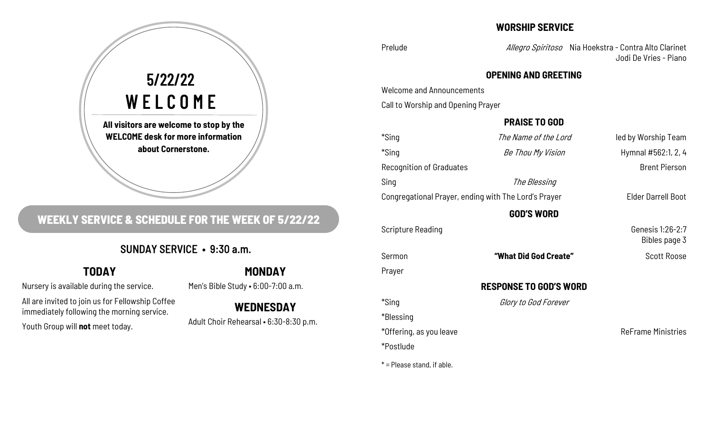# **All visitors are welcome to stop by the WELCOME desk for more information about Cornerstone.**  5/22/22 WELCOME

# **WEEKLY SERVICE & SCHEDULE FOR THE WEEK OF 5/22/22**

## SUNDAY SERVICE • 9:30 a.m.

# **TODAY**

Nursery is available during the service.

All are invited to join us for Fellowship Coffee immediately following the morning service.

Youth Group will **not** meet today.

# **MONDAY**

Men's Bible Study • 6:00-7:00 a.m.

**WEDNESDAY**  Adult Choir Rehearsal • 6:30-8:30 p.m.

### **WORSHIP SERVICE**

Prelude **Allegro Spiritoso** Nia Hoekstra - Contra Alto Clarinet Jodi De Vries - Piano

#### **OPENING AND GREETING**

Welcome and Announcements

Call to Worship and Opening Prayer

#### **PRAISE TO GOD**

| *Sing                                                | The Name of the Lord  | led by Worship Team               |
|------------------------------------------------------|-----------------------|-----------------------------------|
| *Sing                                                | Be Thou My Vision     | Hymnal #562:1, 2, 4               |
| <b>Recognition of Graduates</b>                      |                       | <b>Brent Pierson</b>              |
| Sing                                                 | The Blessing          |                                   |
| Congregational Prayer, ending with The Lord's Prayer |                       | <b>Elder Darrell Boot</b>         |
| <b>GOD'S WORD</b>                                    |                       |                                   |
| <b>Scripture Reading</b>                             |                       | Genesis 1:26-2:7<br>Bibles page 3 |
| Sermon                                               | "What Did God Create" | <b>Scott Roose</b>                |
| Prayer                                               |                       |                                   |
| <b>RESPONSE TO GOD'S WORD</b>                        |                       |                                   |
| *Sing                                                | Glory to God Forever  |                                   |
| *Blessing                                            |                       |                                   |
| *Offering, as you leave                              |                       | <b>ReFrame Ministries</b>         |

 $* =$  Please stand, if able.

\*Postlude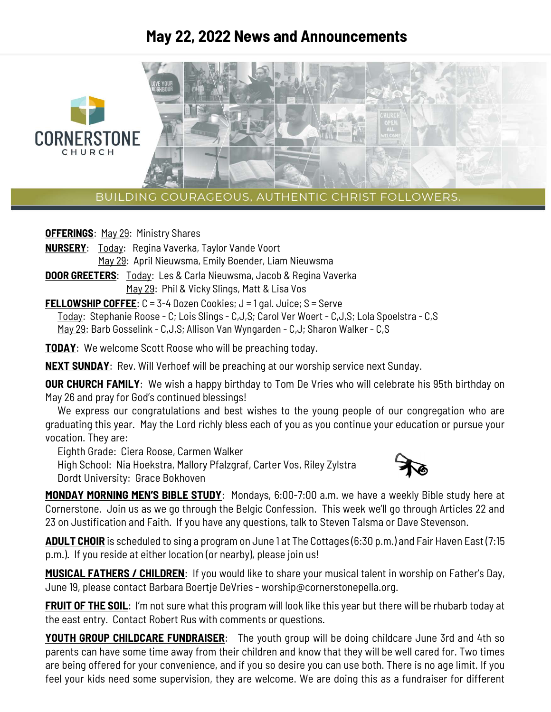# **May 22, 2022 News and Announcements**



BUILDING COURAGEOUS, AUTHENTIC CHRIST FOLLOWERS.

**OFFERINGS: May 29: Ministry Shares** 

- **NURSERY**: Today: Regina Vaverka, Taylor Vande Voort May 29: April Nieuwsma, Emily Boender, Liam Nieuwsma
- **DOOR GREETERS**: Today: Les & Carla Nieuwsma, Jacob & Regina Vaverka May 29: Phil & Vicky Slings, Matt & Lisa Vos

**FELLOWSHIP COFFEE:** C = 3-4 Dozen Cookies; J = 1 gal. Juice; S = Serve

Today: Stephanie Roose - C; Lois Slings - C,J,S; Carol Ver Woert - C,J,S; Lola Spoelstra - C,S May 29: Barb Gosselink - C,J,S; Allison Van Wyngarden - C,J; Sharon Walker - C,S

**TODAY**: We welcome Scott Roose who will be preaching today.

**NEXT SUNDAY**: Rev. Will Verhoef will be preaching at our worship service next Sunday.

**OUR CHURCH FAMILY:** We wish a happy birthday to Tom De Vries who will celebrate his 95th birthday on May 26 and pray for God's continued blessings!

We express our congratulations and best wishes to the young people of our congregation who are graduating this year. May the Lord richly bless each of you as you continue your education or pursue your vocation. They are:

Eighth Grade: Ciera Roose, Carmen Walker

 High School: Nia Hoekstra, Mallory Pfalzgraf, Carter Vos, Riley Zylstra Dordt University: Grace Bokhoven



**MONDAY MORNING MEN'S BIBLE STUDY**: Mondays, 6:00-7:00 a.m. we have a weekly Bible study here at Cornerstone. Join us as we go through the Belgic Confession. This week we'll go through Articles 22 and 23 on Justification and Faith. If you have any questions, talk to Steven Talsma or Dave Stevenson.

**ADULT CHOIR** is scheduled to sing a program on June 1 at The Cottages (6:30 p.m.) and Fair Haven East (7:15 p.m.). If you reside at either location (or nearby), please join us!

**MUSICAL FATHERS / CHILDREN**: If you would like to share your musical talent in worship on Father's Day, June 19, please contact Barbara Boertje DeVries - worship@cornerstonepella.org.

**FRUIT OF THE SOIL**: I'm not sure what this program will look like this year but there will be rhubarb today at the east entry. Contact Robert Rus with comments or questions.

**YOUTH GROUP CHILDCARE FUNDRAISER:** The youth group will be doing childcare June 3rd and 4th so parents can have some time away from their children and know that they will be well cared for. Two times are being offered for your convenience, and if you so desire you can use both. There is no age limit. If you feel your kids need some supervision, they are welcome. We are doing this as a fundraiser for different